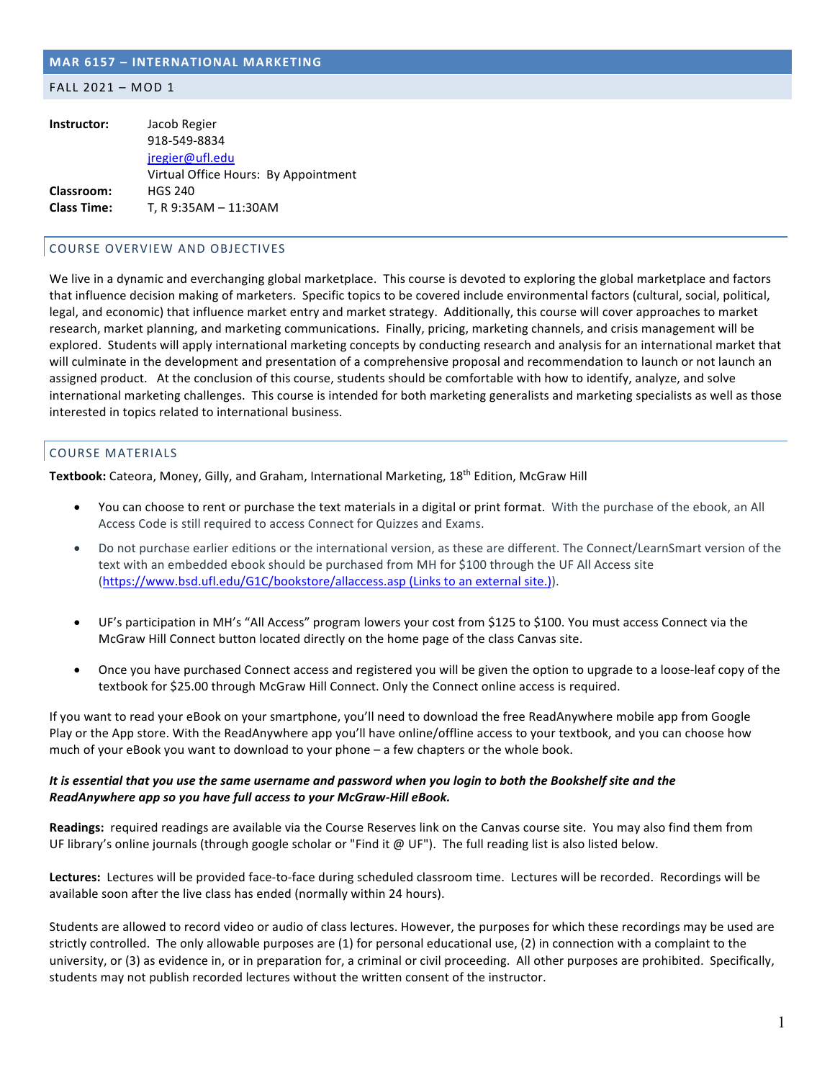## **MAR 6157 – INTERNATIONAL MARKETING**

#### FALL 2021 – MOD 1

| Instructor:        | Jacob Regier                         |
|--------------------|--------------------------------------|
|                    | 918-549-8834                         |
|                    | jregier@ufl.edu                      |
|                    | Virtual Office Hours: By Appointment |
| <b>Classroom:</b>  | <b>HGS 240</b>                       |
| <b>Class Time:</b> | T, R 9:35AM - 11:30AM                |

## COURSE OVERVIEW AND OBJECTIVES

We live in a dynamic and everchanging global marketplace. This course is devoted to exploring the global marketplace and factors that influence decision making of marketers. Specific topics to be covered include environmental factors (cultural, social, political, legal, and economic) that influence market entry and market strategy. Additionally, this course will cover approaches to market research, market planning, and marketing communications. Finally, pricing, marketing channels, and crisis management will be explored. Students will apply international marketing concepts by conducting research and analysis for an international market that will culminate in the development and presentation of a comprehensive proposal and recommendation to launch or not launch an assigned product. At the conclusion of this course, students should be comfortable with how to identify, analyze, and solve international marketing challenges. This course is intended for both marketing generalists and marketing specialists as well as those interested in topics related to international business.

# COURSE MATERIALS

**Textbook:** Cateora, Money, Gilly, and Graham, International Marketing, 18th Edition, McGraw Hill

- You can choose to rent or purchase the text materials in a digital or print format. With the purchase of the ebook, an All Access Code is still required to access Connect for Quizzes and Exams.
- Do not purchase earlier editions or the international version, as these are different. The Connect/LearnSmart version of the text with an embedded ebook should be purchased from MH for \$100 through the UF All Access site (https://www.bsd.ufl.edu/G1C/bookstore/allaccess.asp (Links to an external site.)).
- UF's participation in MH's "All Access" program lowers your cost from \$125 to \$100. You must access Connect via the McGraw Hill Connect button located directly on the home page of the class Canvas site.
- Once you have purchased Connect access and registered you will be given the option to upgrade to a loose-leaf copy of the textbook for \$25.00 through McGraw Hill Connect. Only the Connect online access is required.

If you want to read your eBook on your smartphone, you'll need to download the free ReadAnywhere mobile app from Google Play or the App store. With the ReadAnywhere app you'll have online/offline access to your textbook, and you can choose how much of your eBook you want to download to your phone – a few chapters or the whole book.

# *It is essential that you use the same username and password when you login to both the Bookshelf site and the ReadAnywhere app so you have full access to your McGraw-Hill eBook.*

**Readings:** required readings are available via the Course Reserves link on the Canvas course site. You may also find them from UF library's online journals (through google scholar or "Find it @ UF"). The full reading list is also listed below.

**Lectures:** Lectures will be provided face-to-face during scheduled classroom time. Lectures will be recorded. Recordings will be available soon after the live class has ended (normally within 24 hours).

Students are allowed to record video or audio of class lectures. However, the purposes for which these recordings may be used are strictly controlled. The only allowable purposes are (1) for personal educational use, (2) in connection with a complaint to the university, or (3) as evidence in, or in preparation for, a criminal or civil proceeding. All other purposes are prohibited. Specifically, students may not publish recorded lectures without the written consent of the instructor.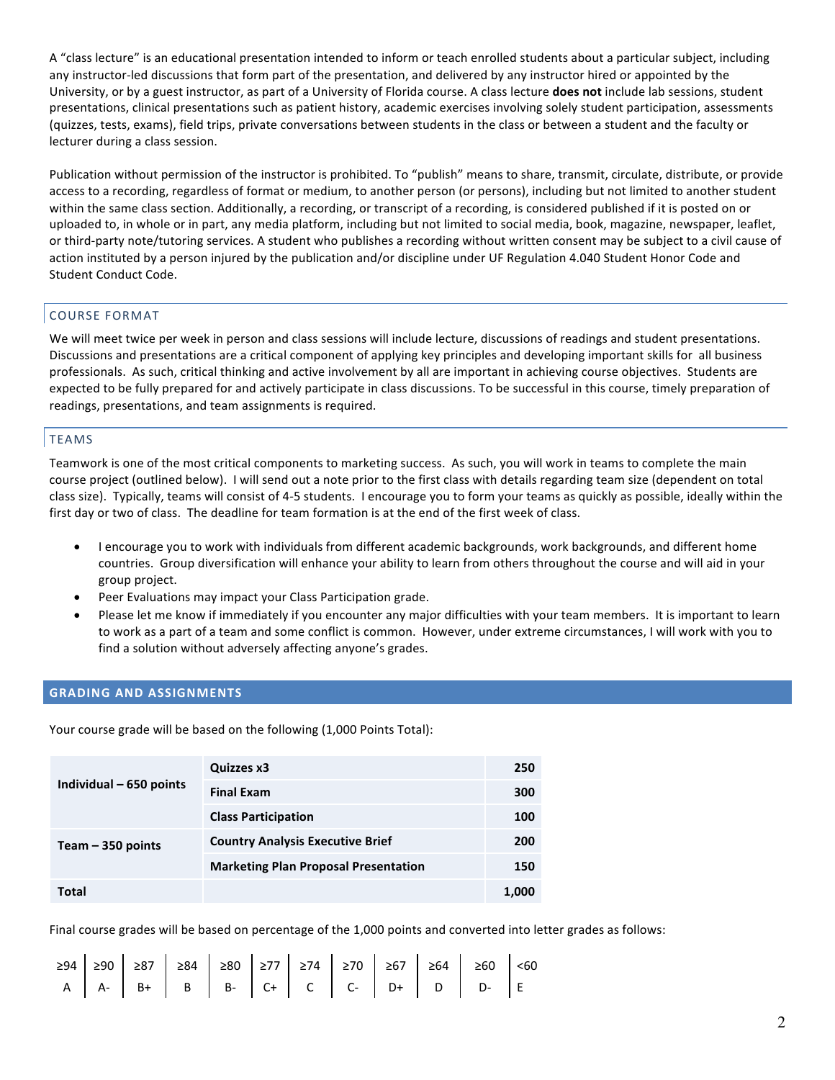A "class lecture" is an educational presentation intended to inform or teach enrolled students about a particular subject, including any instructor-led discussions that form part of the presentation, and delivered by any instructor hired or appointed by the University, or by a guest instructor, as part of a University of Florida course. A class lecture **does not** include lab sessions, student presentations, clinical presentations such as patient history, academic exercises involving solely student participation, assessments (quizzes, tests, exams), field trips, private conversations between students in the class or between a student and the faculty or lecturer during a class session.

Publication without permission of the instructor is prohibited. To "publish" means to share, transmit, circulate, distribute, or provide access to a recording, regardless of format or medium, to another person (or persons), including but not limited to another student within the same class section. Additionally, a recording, or transcript of a recording, is considered published if it is posted on or uploaded to, in whole or in part, any media platform, including but not limited to social media, book, magazine, newspaper, leaflet, or third-party note/tutoring services. A student who publishes a recording without written consent may be subject to a civil cause of action instituted by a person injured by the publication and/or discipline under UF Regulation 4.040 Student Honor Code and Student Conduct Code.

# COURSE FORMAT

We will meet twice per week in person and class sessions will include lecture, discussions of readings and student presentations. Discussions and presentations are a critical component of applying key principles and developing important skills for all business professionals. As such, critical thinking and active involvement by all are important in achieving course objectives. Students are expected to be fully prepared for and actively participate in class discussions. To be successful in this course, timely preparation of readings, presentations, and team assignments is required.

# TEAMS

Teamwork is one of the most critical components to marketing success. As such, you will work in teams to complete the main course project (outlined below). I will send out a note prior to the first class with details regarding team size (dependent on total class size). Typically, teams will consist of 4-5 students. I encourage you to form your teams as quickly as possible, ideally within the first day or two of class. The deadline for team formation is at the end of the first week of class.

- I encourage you to work with individuals from different academic backgrounds, work backgrounds, and different home countries. Group diversification will enhance your ability to learn from others throughout the course and will aid in your group project.
- Peer Evaluations may impact your Class Participation grade.
- Please let me know if immediately if you encounter any major difficulties with your team members. It is important to learn to work as a part of a team and some conflict is common. However, under extreme circumstances, I will work with you to find a solution without adversely affecting anyone's grades.

# **GRADING AND ASSIGNMENTS**

Your course grade will be based on the following (1,000 Points Total):

| Individual - 650 points | Quizzes x3                                  | 250   |
|-------------------------|---------------------------------------------|-------|
|                         | <b>Final Exam</b>                           | 300   |
|                         | <b>Class Participation</b>                  | 100   |
| Team $-350$ points      | <b>Country Analysis Executive Brief</b>     | 200   |
|                         | <b>Marketing Plan Proposal Presentation</b> | 150   |
| Total                   |                                             | 1,000 |

Final course grades will be based on percentage of the 1,000 points and converted into letter grades as follows:

|  |  |  |  |  | $\geq 94$ $\geq 90$ $\geq 87$ $\geq 84$ $\geq 80$ $\geq 77$ $\geq 74$ $\geq 70$ $\geq 67$ $\geq 64$ $\geq 60$ $\leq 60$ |  |
|--|--|--|--|--|-------------------------------------------------------------------------------------------------------------------------|--|
|  |  |  |  |  | $A \mid A - \mid B + \mid B \mid B - \mid C + \mid C \mid C - \mid D + \mid D \mid D - \mid E$                          |  |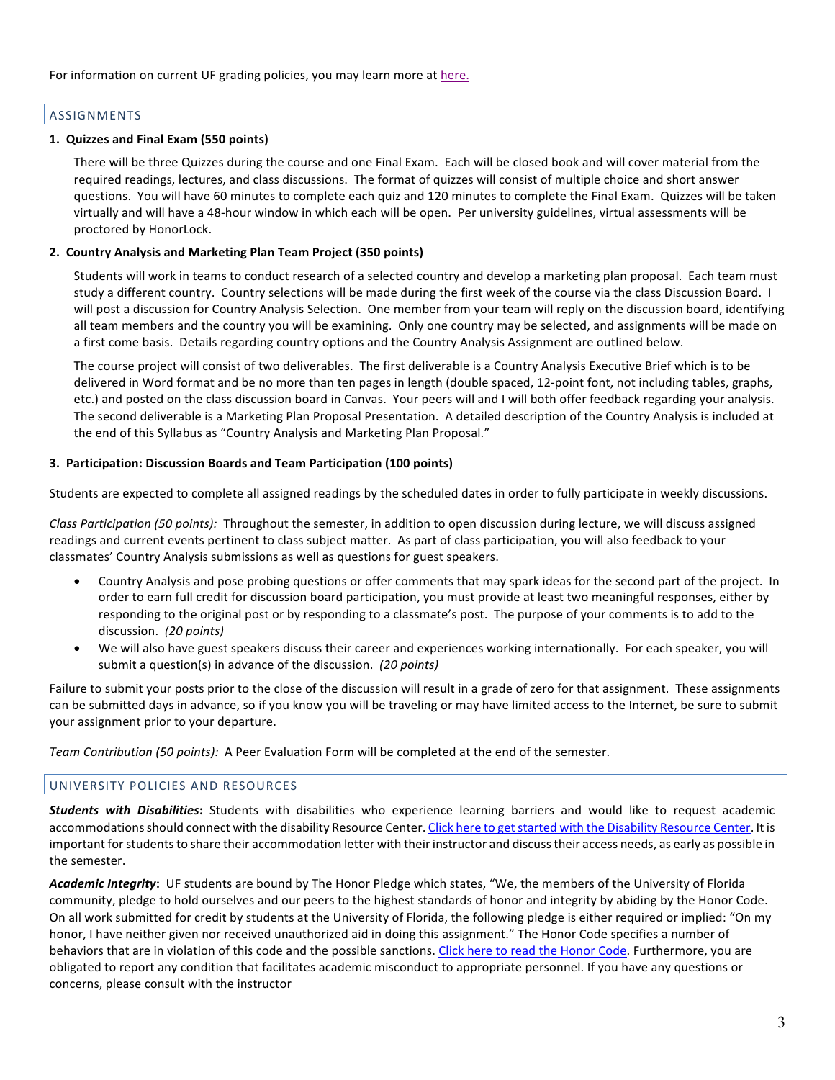# ASSIGNMENTS

# **1. Quizzes and Final Exam (550 points)**

There will be three Quizzes during the course and one Final Exam. Each will be closed book and will cover material from the required readings, lectures, and class discussions. The format of quizzes will consist of multiple choice and short answer questions. You will have 60 minutes to complete each quiz and 120 minutes to complete the Final Exam. Quizzes will be taken virtually and will have a 48-hour window in which each will be open. Per university guidelines, virtual assessments will be proctored by HonorLock.

## **2. Country Analysis and Marketing Plan Team Project (350 points)**

Students will work in teams to conduct research of a selected country and develop a marketing plan proposal. Each team must study a different country. Country selections will be made during the first week of the course via the class Discussion Board. I will post a discussion for Country Analysis Selection. One member from your team will reply on the discussion board, identifying all team members and the country you will be examining. Only one country may be selected, and assignments will be made on a first come basis. Details regarding country options and the Country Analysis Assignment are outlined below.

The course project will consist of two deliverables. The first deliverable is a Country Analysis Executive Brief which is to be delivered in Word format and be no more than ten pages in length (double spaced, 12-point font, not including tables, graphs, etc.) and posted on the class discussion board in Canvas. Your peers will and I will both offer feedback regarding your analysis. The second deliverable is a Marketing Plan Proposal Presentation. A detailed description of the Country Analysis is included at the end of this Syllabus as "Country Analysis and Marketing Plan Proposal."

## **3. Participation: Discussion Boards and Team Participation (100 points)**

Students are expected to complete all assigned readings by the scheduled dates in order to fully participate in weekly discussions.

*Class Participation (50 points):* Throughout the semester, in addition to open discussion during lecture, we will discuss assigned readings and current events pertinent to class subject matter. As part of class participation, you will also feedback to your classmates' Country Analysis submissions as well as questions for guest speakers.

- Country Analysis and pose probing questions or offer comments that may spark ideas for the second part of the project. In order to earn full credit for discussion board participation, you must provide at least two meaningful responses, either by responding to the original post or by responding to a classmate's post. The purpose of your comments is to add to the discussion. *(20 points)*
- We will also have guest speakers discuss their career and experiences working internationally. For each speaker, you will submit a question(s) in advance of the discussion. *(20 points)*

Failure to submit your posts prior to the close of the discussion will result in a grade of zero for that assignment. These assignments can be submitted days in advance, so if you know you will be traveling or may have limited access to the Internet, be sure to submit your assignment prior to your departure.

*Team Contribution (50 points):* A Peer Evaluation Form will be completed at the end of the semester.

# UNIVERSITY POLICIES AND RESOURCES

*Students with Disabilities***:** Students with disabilities who experience learning barriers and would like to request academic accommodations should connect with the disability Resource Center. Click here to get started with the Disability Resource Center. It is important forstudents to share their accommodation letter with their instructor and discuss their access needs, as early as possible in the semester.

*Academic Integrity***:** UF students are bound by The Honor Pledge which states, "We, the members of the University of Florida community, pledge to hold ourselves and our peers to the highest standards of honor and integrity by abiding by the Honor Code. On all work submitted for credit by students at the University of Florida, the following pledge is either required or implied: "On my honor, I have neither given nor received unauthorized aid in doing this assignment." The Honor Code specifies a number of behaviors that are in violation of this code and the possible sanctions. Click here to read the Honor Code. Furthermore, you are obligated to report any condition that facilitates academic misconduct to appropriate personnel. If you have any questions or concerns, please consult with the instructor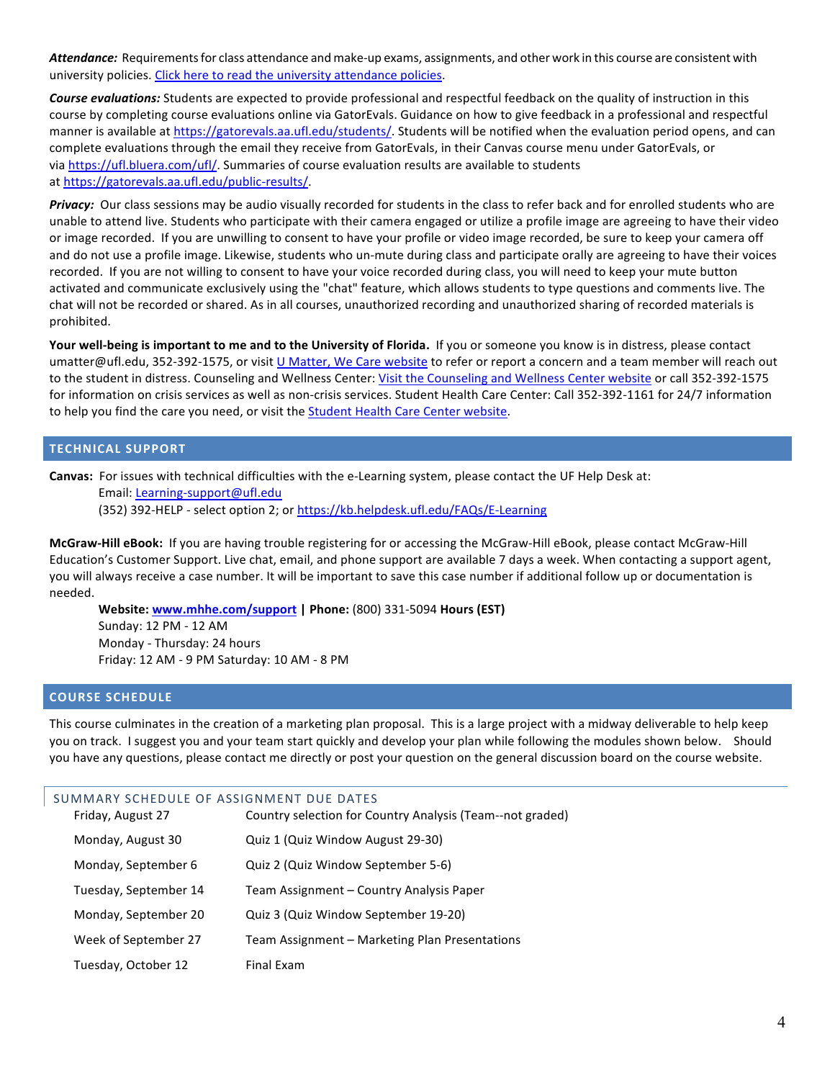*Attendance:* Requirements for class attendance and make-up exams, assignments, and other work in this course are consistent with university policies. Click here to read the university attendance policies.

*Course evaluations:* Students are expected to provide professional and respectful feedback on the quality of instruction in this course by completing course evaluations online via GatorEvals. Guidance on how to give feedback in a professional and respectful manner is available at https://gatorevals.aa.ufl.edu/students/. Students will be notified when the evaluation period opens, and can complete evaluations through the email they receive from GatorEvals, in their Canvas course menu under GatorEvals, or via https://ufl.bluera.com/ufl/. Summaries of course evaluation results are available to students at https://gatorevals.aa.ufl.edu/public-results/.

*Privacy:* Our class sessions may be audio visually recorded for students in the class to refer back and for enrolled students who are unable to attend live. Students who participate with their camera engaged or utilize a profile image are agreeing to have their video or image recorded. If you are unwilling to consent to have your profile or video image recorded, be sure to keep your camera off and do not use a profile image. Likewise, students who un-mute during class and participate orally are agreeing to have their voices recorded. If you are not willing to consent to have your voice recorded during class, you will need to keep your mute button activated and communicate exclusively using the "chat" feature, which allows students to type questions and comments live. The chat will not be recorded or shared. As in all courses, unauthorized recording and unauthorized sharing of recorded materials is prohibited.

**Your well-being is important to me and to the University of Florida.** If you or someone you know is in distress, please contact umatter@ufl.edu, 352-392-1575, or visit U Matter, We Care website to refer or report a concern and a team member will reach out to the student in distress. Counseling and Wellness Center: Visit the Counseling and Wellness Center website or call 352-392-1575 for information on crisis services as well as non-crisis services. Student Health Care Center: Call 352-392-1161 for 24/7 information to help you find the care you need, or visit the Student Health Care Center website.

## **TECHNICAL SUPPORT**

**Canvas:** For issues with technical difficulties with the e-Learning system, please contact the UF Help Desk at: Email: Learning-support@ufl.edu

(352) 392-HELP - select option 2; or https://kb.helpdesk.ufl.edu/FAQs/E-Learning

**McGraw-Hill eBook:** If you are having trouble registering for or accessing the McGraw-Hill eBook, please contact McGraw-Hill Education's Customer Support. Live chat, email, and phone support are available 7 days a week. When contacting a support agent, you will always receive a case number. It will be important to save this case number if additional follow up or documentation is needed.

**Website: www.mhhe.com/support | Phone:** (800) 331-5094 **Hours (EST)** Sunday: 12 PM - 12 AM Monday - Thursday: 24 hours Friday: 12 AM - 9 PM Saturday: 10 AM - 8 PM

## **COURSE SCHEDULE**

This course culminates in the creation of a marketing plan proposal. This is a large project with a midway deliverable to help keep you on track. I suggest you and your team start quickly and develop your plan while following the modules shown below. Should you have any questions, please contact me directly or post your question on the general discussion board on the course website.

| SUMMARY SCHEDULE OF ASSIGNMENT DUE DATES |                                                           |  |  |  |
|------------------------------------------|-----------------------------------------------------------|--|--|--|
| Friday, August 27                        | Country selection for Country Analysis (Team--not graded) |  |  |  |
| Monday, August 30                        | Quiz 1 (Quiz Window August 29-30)                         |  |  |  |
| Monday, September 6                      | Quiz 2 (Quiz Window September 5-6)                        |  |  |  |
| Tuesday, September 14                    | Team Assignment – Country Analysis Paper                  |  |  |  |
| Monday, September 20                     | Quiz 3 (Quiz Window September 19-20)                      |  |  |  |
| Week of September 27                     | Team Assignment – Marketing Plan Presentations            |  |  |  |
| Tuesday, October 12                      | <b>Final Fxam</b>                                         |  |  |  |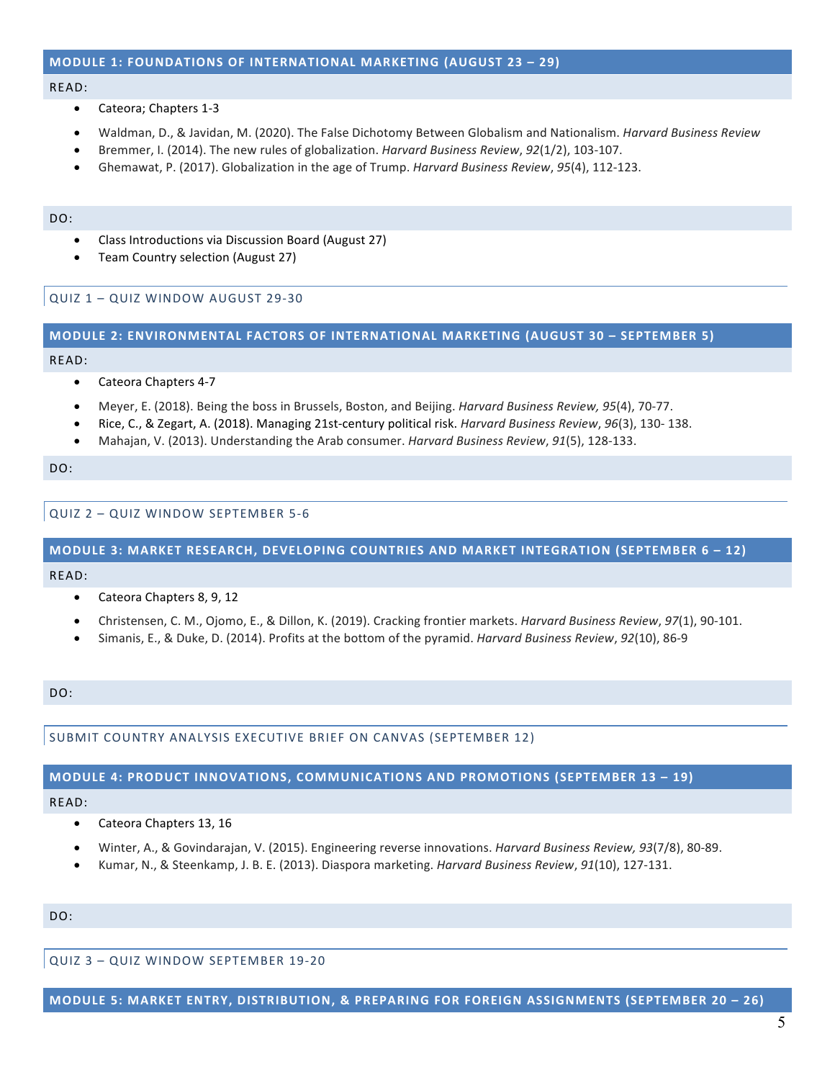# **MODULE 1: FOUNDATIONS OF INTERNATIONAL MARKETING (AUGUST 23 – 29)**

#### READ:

- Cateora; Chapters 1-3
- Waldman, D., & Javidan, M. (2020). The False Dichotomy Between Globalism and Nationalism. *Harvard Business Review*
- Bremmer, I. (2014). The new rules of globalization. *Harvard Business Review*, *92*(1/2), 103-107.
- Ghemawat, P. (2017). Globalization in the age of Trump. *Harvard Business Review*, *95*(4), 112-123.

#### DO:

- Class Introductions via Discussion Board (August 27)
- Team Country selection (August 27)

QUIZ 1 – QUIZ WINDOW AUGUST 29-30

#### **MODULE 2: ENVIRONMENTAL FACTORS OF INTERNATIONAL MARKETING (AUGUST 30 – SEPTEMBER 5)**

#### READ:

- Cateora Chapters 4-7
- Meyer, E. (2018). Being the boss in Brussels, Boston, and Beijing. *Harvard Business Review, 95*(4), 70-77.
- Rice, C., & Zegart, A. (2018). Managing 21st-century political risk. *Harvard Business Review*, *96*(3), 130- 138.
- Mahajan, V. (2013). Understanding the Arab consumer. *Harvard Business Review*, *91*(5), 128-133.

DO:

QUIZ 2 – QUIZ WINDOW SEPTEMBER 5-6

# **MODULE 3: MARKET RESEARCH, DEVELOPING COUNTRIES AND MARKET INTEGRATION (SEPTEMBER 6 – 12)**

#### READ:

- Cateora Chapters 8, 9, 12
- Christensen, C. M., Ojomo, E., & Dillon, K. (2019). Cracking frontier markets. *Harvard Business Review*, *97*(1), 90-101.
- Simanis, E., & Duke, D. (2014). Profits at the bottom of the pyramid. *Harvard Business Review*, *92*(10), 86-9

#### DO:

SUBMIT COUNTRY ANALYSIS EXECUTIVE BRIEF ON CANVAS (SEPTEMBER 12)

#### **MODULE 4: PRODUCT INNOVATIONS, COMMUNICATIONS AND PROMOTIONS (SEPTEMBER 13 – 19)**

# READ:

- Cateora Chapters 13, 16
- Winter, A., & Govindarajan, V. (2015). Engineering reverse innovations. *Harvard Business Review, 93*(7/8), 80-89.
- Kumar, N., & Steenkamp, J. B. E. (2013). Diaspora marketing. *Harvard Business Review*, *91*(10), 127-131.

## DO:

QUIZ 3 – QUIZ WINDOW SEPTEMBER 19-20

**MODULE 5: MARKET ENTRY, DISTRIBUTION, & PREPARING FOR FOREIGN ASSIGNMENTS (SEPTEMBER 20 – 26)**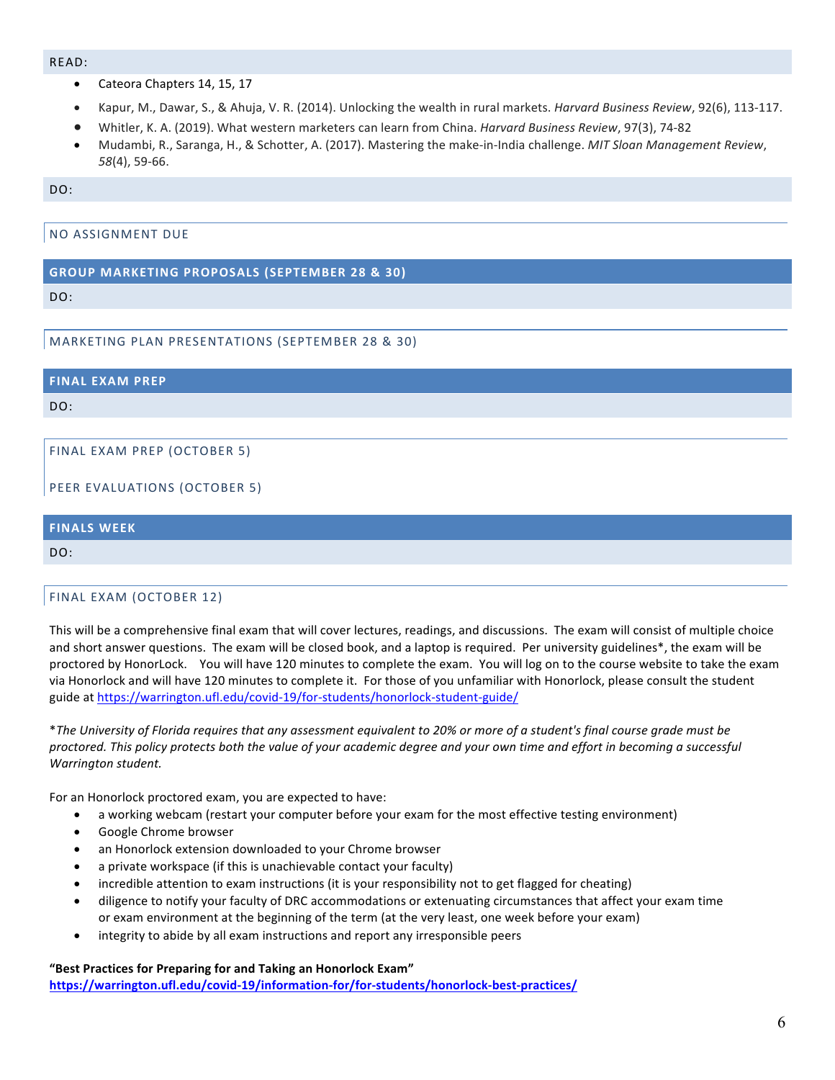#### READ:

- Cateora Chapters 14, 15, 17
- Kapur, M., Dawar, S., & Ahuja, V. R. (2014). Unlocking the wealth in rural markets. *Harvard Business Review*, 92(6), 113-117.
- Whitler, K. A. (2019). What western marketers can learn from China. *Harvard Business Review*, 97(3), 74-82
- Mudambi, R., Saranga, H., & Schotter, A. (2017). Mastering the make-in-India challenge. *MIT Sloan Management Review*, *58*(4), 59-66.

DO:

NO ASSIGNMENT DUE

# **GROUP MARKETING PROPOSALS (SEPTEMBER 28 & 30)**

 $D^{\Omega}$ 

# MARKETING PLAN PRESENTATIONS (SEPTEMBER 28 & 30)

**FINAL EXAM PREP**

DO:

FINAL EXAM PREP (OCTOBER 5)

PEER EVALUATIONS (OCTOBER 5)

# **FINALS WEEK**  $D^{\Omega}$

# FINAL EXAM (OCTOBER 12)

This will be a comprehensive final exam that will cover lectures, readings, and discussions. The exam will consist of multiple choice and short answer questions. The exam will be closed book, and a laptop is required. Per university guidelines\*, the exam will be proctored by HonorLock. You will have 120 minutes to complete the exam. You will log on to the course website to take the exam via Honorlock and will have 120 minutes to complete it. For those of you unfamiliar with Honorlock, please consult the student guide at https://warrington.ufl.edu/covid-19/for-students/honorlock-student-guide/

\**The University of Florida requires that any assessment equivalent to 20% or more of a student's final course grade must be proctored. This policy protects both the value of your academic degree and your own time and effort in becoming a successful Warrington student.*

For an Honorlock proctored exam, you are expected to have:

- a working webcam (restart your computer before your exam for the most effective testing environment)
- Google Chrome browser
- an Honorlock extension downloaded to your Chrome browser
- a private workspace (if this is unachievable contact your faculty)
- incredible attention to exam instructions (it is your responsibility not to get flagged for cheating)
- diligence to notify your faculty of DRC accommodations or extenuating circumstances that affect your exam time or exam environment at the beginning of the term (at the very least, one week before your exam)
- integrity to abide by all exam instructions and report any irresponsible peers

**"Best Practices for Preparing for and Taking an Honorlock Exam" https://warrington.ufl.edu/covid-19/information-for/for-students/honorlock-best-practices/**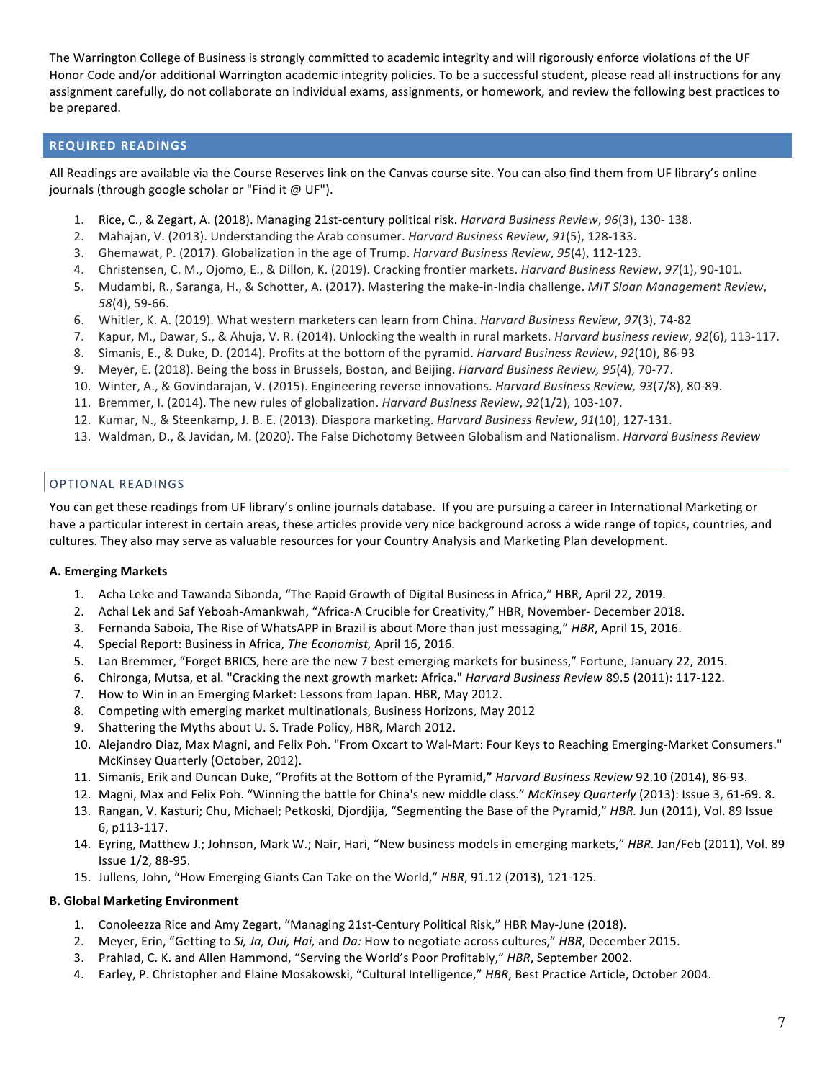The Warrington College of Business is strongly committed to academic integrity and will rigorously enforce violations of the UF Honor Code and/or additional Warrington academic integrity policies. To be a successful student, please read all instructions for any assignment carefully, do not collaborate on individual exams, assignments, or homework, and review the following best practices to be prepared.

# **REQUIRED READINGS**

All Readings are available via the Course Reserves link on the Canvas course site. You can also find them from UF library's online journals (through google scholar or "Find it @ UF").

- 1. Rice, C., & Zegart, A. (2018). Managing 21st-century political risk. *Harvard Business Review*, *96*(3), 130- 138.
- 2. Mahajan, V. (2013). Understanding the Arab consumer. *Harvard Business Review*, *91*(5), 128-133.
- 3. Ghemawat, P. (2017). Globalization in the age of Trump. *Harvard Business Review*, *95*(4), 112-123.
- 4. Christensen, C. M., Ojomo, E., & Dillon, K. (2019). Cracking frontier markets. *Harvard Business Review*, *97*(1), 90-101.
- 5. Mudambi, R., Saranga, H., & Schotter, A. (2017). Mastering the make-in-India challenge. *MIT Sloan Management Review*, *58*(4), 59-66.
- 6. Whitler, K. A. (2019). What western marketers can learn from China. *Harvard Business Review*, *97*(3), 74-82
- 7. Kapur, M., Dawar, S., & Ahuja, V. R. (2014). Unlocking the wealth in rural markets. *Harvard business review*, *92*(6), 113-117.
- 8. Simanis, E., & Duke, D. (2014). Profits at the bottom of the pyramid. *Harvard Business Review*, *92*(10), 86-93
- 9. Meyer, E. (2018). Being the boss in Brussels, Boston, and Beijing. *Harvard Business Review, 95*(4), 70-77.
- 10. Winter, A., & Govindarajan, V. (2015). Engineering reverse innovations. *Harvard Business Review, 93*(7/8), 80-89.
- 11. Bremmer, I. (2014). The new rules of globalization. *Harvard Business Review*, *92*(1/2), 103-107.
- 12. Kumar, N., & Steenkamp, J. B. E. (2013). Diaspora marketing. *Harvard Business Review*, *91*(10), 127-131.
- 13. Waldman, D., & Javidan, M. (2020). The False Dichotomy Between Globalism and Nationalism. *Harvard Business Review*

# OPTIONAL READINGS

You can get these readings from UF library's online journals database. If you are pursuing a career in International Marketing or have a particular interest in certain areas, these articles provide very nice background across a wide range of topics, countries, and cultures. They also may serve as valuable resources for your Country Analysis and Marketing Plan development.

# **A. Emerging Markets**

- 1. Acha Leke and Tawanda Sibanda, "The Rapid Growth of Digital Business in Africa," HBR, April 22, 2019.
- 2. Achal Lek and Saf Yeboah-Amankwah, "Africa-A Crucible for Creativity," HBR, November- December 2018.
- 3. Fernanda Saboia, The Rise of WhatsAPP in Brazil is about More than just messaging," *HBR*, April 15, 2016.
- 4. Special Report: Business in Africa, *The Economist,* April 16, 2016.
- 5. Lan Bremmer, "Forget BRICS, here are the new 7 best emerging markets for business," Fortune, January 22, 2015.
- 6. Chironga, Mutsa, et al. "Cracking the next growth market: Africa." *Harvard Business Review* 89.5 (2011): 117-122.
- 7. How to Win in an Emerging Market: Lessons from Japan. HBR, May 2012.
- 8. Competing with emerging market multinationals, Business Horizons, May 2012
- 9. Shattering the Myths about U. S. Trade Policy, HBR, March 2012.
- 10. Alejandro Diaz, Max Magni, and Felix Poh. "From Oxcart to Wal-Mart: Four Keys to Reaching Emerging-Market Consumers." McKinsey Quarterly (October, 2012).
- 11. Simanis, Erik and Duncan Duke, "Profits at the Bottom of the Pyramid**,"** *Harvard Business Review* 92.10 (2014), 86-93.
- 12. Magni, Max and Felix Poh. "Winning the battle for China's new middle class." *McKinsey Quarterly* (2013): Issue 3, 61-69. 8.
- 13. Rangan, V. Kasturi; Chu, Michael; Petkoski, Djordjija, "Segmenting the Base of the Pyramid," *HBR.* Jun (2011), Vol. 89 Issue 6, p113-117.
- 14. Eyring, Matthew J.; Johnson, Mark W.; Nair, Hari, "New business models in emerging markets," *HBR.* Jan/Feb (2011), Vol. 89 Issue 1/2, 88-95.
- 15. Jullens, John, "How Emerging Giants Can Take on the World," *HBR*, 91.12 (2013), 121-125.

# **B. Global Marketing Environment**

- 1. Conoleezza Rice and Amy Zegart, "Managing 21st-Century Political Risk," HBR May-June (2018).
- 2. Meyer, Erin, "Getting to *Si, Ja, Oui, Hai,* and *Da:* How to negotiate across cultures," *HBR*, December 2015.
- 3. Prahlad, C. K. and Allen Hammond, "Serving the World's Poor Profitably," *HBR*, September 2002.
- 4. Earley, P. Christopher and Elaine Mosakowski, "Cultural Intelligence," *HBR*, Best Practice Article, October 2004.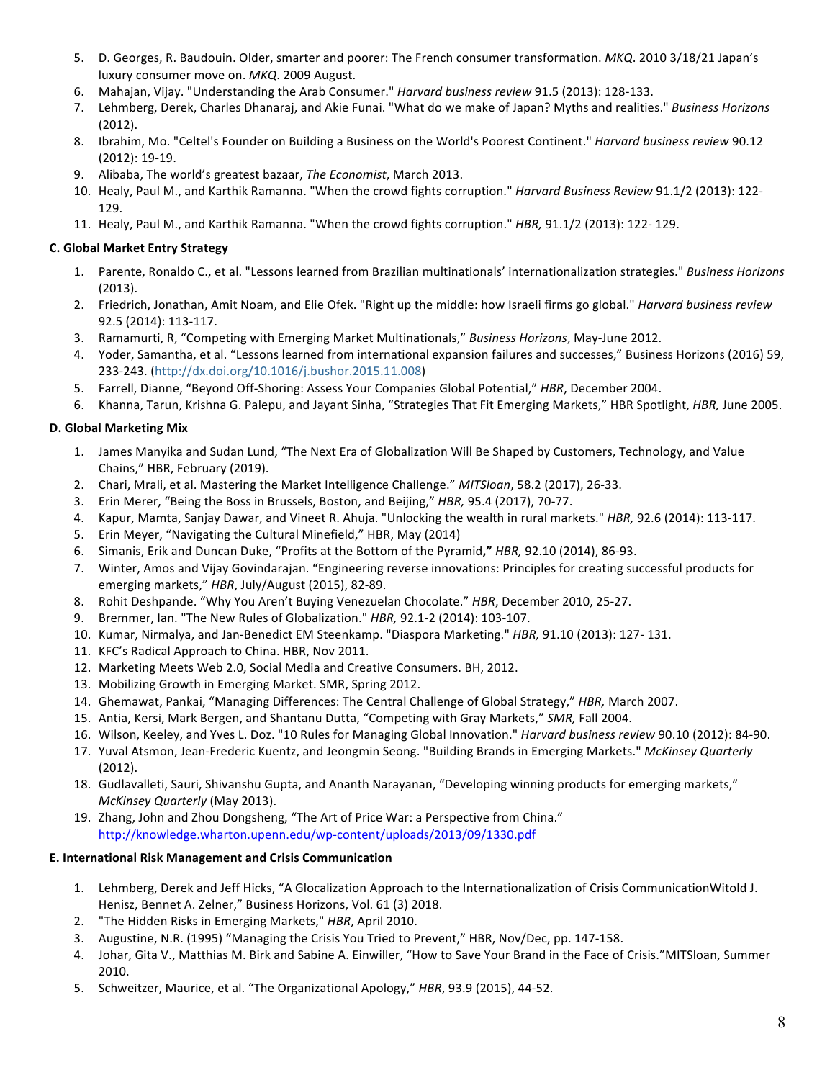- 5. D. Georges, R. Baudouin. Older, smarter and poorer: The French consumer transformation. *MKQ*. 2010 3/18/21 Japan's luxury consumer move on. *MKQ*. 2009 August.
- 6. Mahajan, Vijay. "Understanding the Arab Consumer." *Harvard business review* 91.5 (2013): 128-133.
- 7. Lehmberg, Derek, Charles Dhanaraj, and Akie Funai. "What do we make of Japan? Myths and realities." *Business Horizons*  (2012).
- 8. Ibrahim, Mo. "Celtel's Founder on Building a Business on the World's Poorest Continent." *Harvard business review* 90.12 (2012): 19-19.
- 9. Alibaba, The world's greatest bazaar, *The Economist*, March 2013.
- 10. Healy, Paul M., and Karthik Ramanna. "When the crowd fights corruption." *Harvard Business Review* 91.1/2 (2013): 122- 129.
- 11. Healy, Paul M., and Karthik Ramanna. "When the crowd fights corruption." *HBR,* 91.1/2 (2013): 122- 129.

# **C. Global Market Entry Strategy**

- 1. Parente, Ronaldo C., et al. "Lessons learned from Brazilian multinationals' internationalization strategies." *Business Horizons*  (2013).
- 2. Friedrich, Jonathan, Amit Noam, and Elie Ofek. "Right up the middle: how Israeli firms go global." *Harvard business review*  92.5 (2014): 113-117.
- 3. Ramamurti, R, "Competing with Emerging Market Multinationals," *Business Horizons*, May-June 2012.
- 4. Yoder, Samantha, et al. "Lessons learned from international expansion failures and successes," Business Horizons (2016) 59, 233-243. (http://dx.doi.org/10.1016/j.bushor.2015.11.008)
- 5. Farrell, Dianne, "Beyond Off-Shoring: Assess Your Companies Global Potential," *HBR*, December 2004.
- 6. Khanna, Tarun, Krishna G. Palepu, and Jayant Sinha, "Strategies That Fit Emerging Markets," HBR Spotlight, *HBR,* June 2005.

# **D. Global Marketing Mix**

- 1. James Manyika and Sudan Lund, "The Next Era of Globalization Will Be Shaped by Customers, Technology, and Value Chains," HBR, February (2019).
- 2. Chari, Mrali, et al. Mastering the Market Intelligence Challenge." *MITSloan*, 58.2 (2017), 26-33.
- 3. Erin Merer, "Being the Boss in Brussels, Boston, and Beijing," *HBR,* 95.4 (2017), 70-77.
- 4. Kapur, Mamta, Sanjay Dawar, and Vineet R. Ahuja. "Unlocking the wealth in rural markets." *HBR,* 92.6 (2014): 113-117.
- 5. Erin Meyer, "Navigating the Cultural Minefield," HBR, May (2014)
- 6. Simanis, Erik and Duncan Duke, "Profits at the Bottom of the Pyramid**,"** *HBR,* 92.10 (2014), 86-93.
- 7. Winter, Amos and Vijay Govindarajan. "Engineering reverse innovations: Principles for creating successful products for emerging markets," *HBR*, July/August (2015), 82-89.
- 8. Rohit Deshpande. "Why You Aren't Buying Venezuelan Chocolate." *HBR*, December 2010, 25-27.
- 9. Bremmer, Ian. "The New Rules of Globalization." *HBR,* 92.1-2 (2014): 103-107.
- 10. Kumar, Nirmalya, and Jan-Benedict EM Steenkamp. "Diaspora Marketing." *HBR,* 91.10 (2013): 127- 131.
- 11. KFC's Radical Approach to China. HBR, Nov 2011.
- 12. Marketing Meets Web 2.0, Social Media and Creative Consumers. BH, 2012.
- 13. Mobilizing Growth in Emerging Market. SMR, Spring 2012.
- 14. Ghemawat, Pankai, "Managing Differences: The Central Challenge of Global Strategy," *HBR,* March 2007.
- 15. Antia, Kersi, Mark Bergen, and Shantanu Dutta, "Competing with Gray Markets," *SMR,* Fall 2004.
- 16. Wilson, Keeley, and Yves L. Doz. "10 Rules for Managing Global Innovation." *Harvard business review* 90.10 (2012): 84-90.
- 17. Yuval Atsmon, Jean-Frederic Kuentz, and Jeongmin Seong. "Building Brands in Emerging Markets." *McKinsey Quarterly*  (2012).
- 18. Gudlavalleti, Sauri, Shivanshu Gupta, and Ananth Narayanan, "Developing winning products for emerging markets," *McKinsey Quarterly* (May 2013).
- 19. Zhang, John and Zhou Dongsheng, "The Art of Price War: a Perspective from China." http://knowledge.wharton.upenn.edu/wp-content/uploads/2013/09/1330.pdf

# **E. International Risk Management and Crisis Communication**

- 1. Lehmberg, Derek and Jeff Hicks, "A Glocalization Approach to the Internationalization of Crisis CommunicationWitold J. Henisz, Bennet A. Zelner," Business Horizons, Vol. 61 (3) 2018.
- 2. "The Hidden Risks in Emerging Markets," *HBR*, April 2010.
- 3. Augustine, N.R. (1995) "Managing the Crisis You Tried to Prevent," HBR, Nov/Dec, pp. 147-158.
- 4. Johar, Gita V., Matthias M. Birk and Sabine A. Einwiller, "How to Save Your Brand in the Face of Crisis."MITSloan, Summer 2010.
- 5. Schweitzer, Maurice, et al. "The Organizational Apology," *HBR*, 93.9 (2015), 44-52.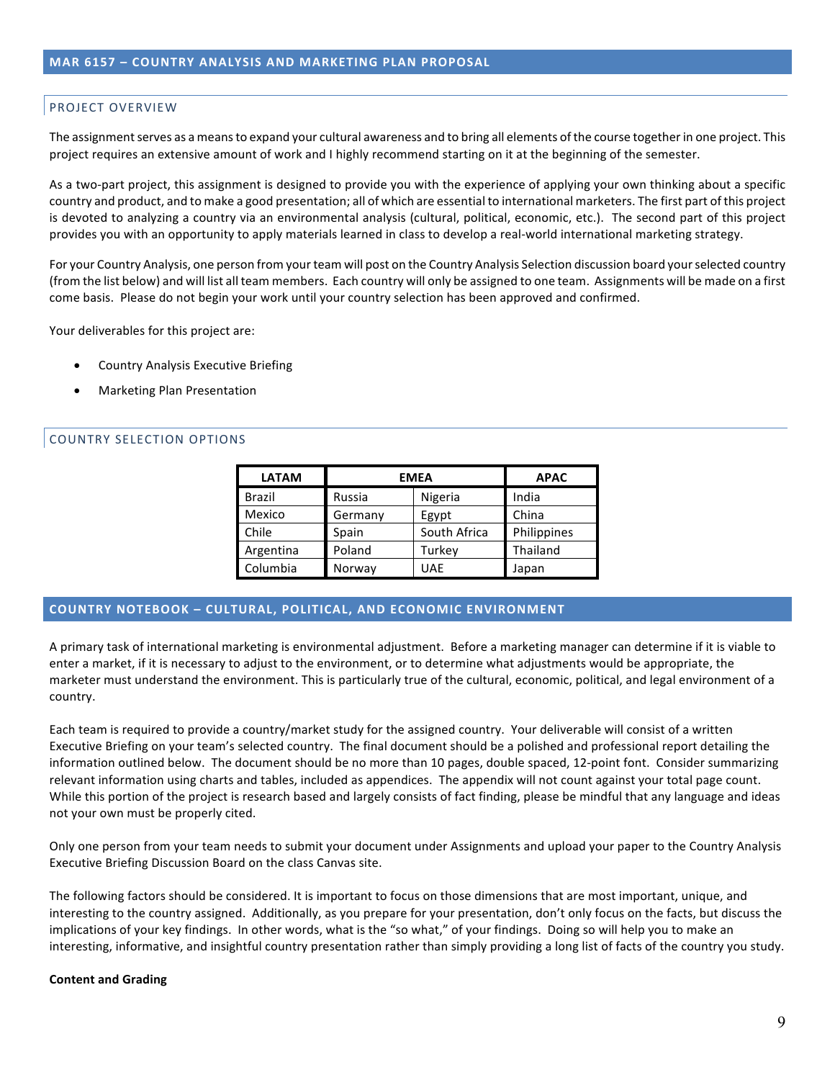# PROJECT OVERVIEW

The assignment serves as a means to expand your cultural awareness and to bring all elements of the course together in one project. This project requires an extensive amount of work and I highly recommend starting on it at the beginning of the semester.

As a two-part project, this assignment is designed to provide you with the experience of applying your own thinking about a specific country and product, and to make a good presentation; all of which are essential to international marketers. The first part of this project is devoted to analyzing a country via an environmental analysis (cultural, political, economic, etc.). The second part of this project provides you with an opportunity to apply materials learned in class to develop a real-world international marketing strategy.

For your Country Analysis, one person from your team will post on the Country Analysis Selection discussion board your selected country (from the list below) and will list all team members. Each country will only be assigned to one team. Assignments will be made on a first come basis. Please do not begin your work until your country selection has been approved and confirmed.

Your deliverables for this project are:

- Country Analysis Executive Briefing
- Marketing Plan Presentation

# COUNTRY SELECTION OPTIONS

| <b>LATAM</b>  | <b>EMEA</b> | <b>APAC</b>  |             |
|---------------|-------------|--------------|-------------|
| <b>Brazil</b> | Russia      | Nigeria      | India       |
| Mexico        | Germany     | Egypt        | China       |
| Chile         | Spain       | South Africa | Philippines |
| Argentina     | Poland      | Turkev       | Thailand    |
| Columbia      | Norway      | UAE          | Japan       |

# **COUNTRY NOTEBOOK – CULTURAL, POLITICAL, AND ECONOMIC ENVIRONMENT**

A primary task of international marketing is environmental adjustment. Before a marketing manager can determine if it is viable to enter a market, if it is necessary to adjust to the environment, or to determine what adjustments would be appropriate, the marketer must understand the environment. This is particularly true of the cultural, economic, political, and legal environment of a country.

Each team is required to provide a country/market study for the assigned country. Your deliverable will consist of a written Executive Briefing on your team's selected country. The final document should be a polished and professional report detailing the information outlined below. The document should be no more than 10 pages, double spaced, 12-point font. Consider summarizing relevant information using charts and tables, included as appendices. The appendix will not count against your total page count. While this portion of the project is research based and largely consists of fact finding, please be mindful that any language and ideas not your own must be properly cited.

Only one person from your team needs to submit your document under Assignments and upload your paper to the Country Analysis Executive Briefing Discussion Board on the class Canvas site.

The following factors should be considered. It is important to focus on those dimensions that are most important, unique, and interesting to the country assigned. Additionally, as you prepare for your presentation, don't only focus on the facts, but discuss the implications of your key findings. In other words, what is the "so what," of your findings. Doing so will help you to make an interesting, informative, and insightful country presentation rather than simply providing a long list of facts of the country you study.

#### **Content and Grading**